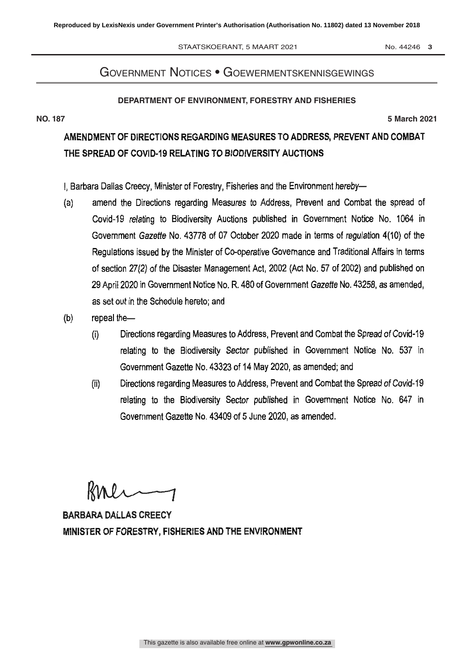#### STAATSKOERANT, 5 MAART 2021 No. 44246 3

# Government Notices • Goewermentskennisgewings

### **DEPARTMENT OF ENVIRONMENT, FORESTRY AND FISHERIES**

**NO. 187 5 March 2021**

# AMENDMENT OF DIRECTIONS REGARDING MEASURES TO ADDRESS. PREVENT AND COMBAT THE SPREAD OF COVID-19 RELATING TO BIODIVERSITY AUCTIONS

I, Barbara Dallas Creecy, Minister of Forestry, Fisheries and the Environment hereby-

- (a) amend the Directions regarding Measures to Address, Prevent and Combat the spread of Covid -19 relating to Biodiversity Auctions published in Government Notice No. 1064 in Government Gazette No. 43778 of 07 October 2020 made in terms of regulation 4(10) of the Regulations issued by the Minister of Co-operative Governance and Traditional Affairs in terms of section 27(2) of the Disaster Management Act, 2002 (Act No. 57 of 2002) and published on 29 April 2020 in Government Notice No. R. 480 of Government Gazette No. 43258, as amended, as set out in the Schedule hereto: and
- $(b)$ repeal the-
	- Directions regarding Measures to Address, Prevent and Combat the Spread of Covid -19  $\left(\mathbf{i}\right)$ relating to the Biodiversity Sector published in Government Notice No. 537 in Government Gazette No. 43323 of 14 May 2020, as amended; and
	- (ii) Directions regarding Measures to Address, Prevent and Combat the Spread of Covid -19 relating to the Biodiversity Sector published in Government Notice No. 647 in Government Gazette No. 43409 of 5 June 2020, as amended.

 $RML$ 

BARBARA DALLAS CREECY MINISTER OF FORESTRY, FISHERIES AND THE ENVIRONMENT